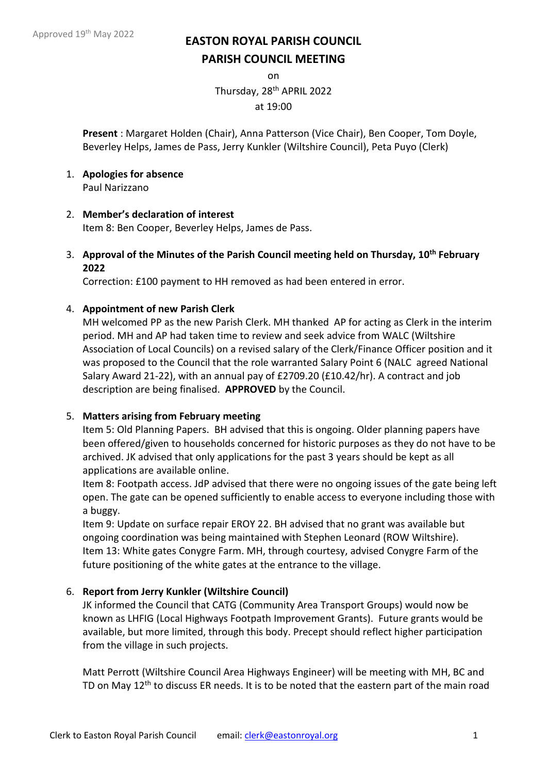on

Thursday, 28th APRIL 2022

at 19:00

**Present** : Margaret Holden (Chair), Anna Patterson (Vice Chair), Ben Cooper, Tom Doyle, Beverley Helps, James de Pass, Jerry Kunkler (Wiltshire Council), Peta Puyo (Clerk)

- 1. **Apologies for absence** Paul Narizzano
- 2. **Member's declaration of interest**

Item 8: Ben Cooper, Beverley Helps, James de Pass.

3. **Approval of the Minutes of the Parish Council meeting held on Thursday, 10th February 2022**

Correction: £100 payment to HH removed as had been entered in error.

# 4. **Appointment of new Parish Clerk**

MH welcomed PP as the new Parish Clerk. MH thanked AP for acting as Clerk in the interim period. MH and AP had taken time to review and seek advice from WALC (Wiltshire Association of Local Councils) on a revised salary of the Clerk/Finance Officer position and it was proposed to the Council that the role warranted Salary Point 6 (NALC agreed National Salary Award 21-22), with an annual pay of £2709.20 (£10.42/hr). A contract and job description are being finalised. **APPROVED** by the Council.

## 5. **Matters arising from February meeting**

Item 5: Old Planning Papers. BH advised that this is ongoing. Older planning papers have been offered/given to households concerned for historic purposes as they do not have to be archived. JK advised that only applications for the past 3 years should be kept as all applications are available online.

Item 8: Footpath access. JdP advised that there were no ongoing issues of the gate being left open. The gate can be opened sufficiently to enable access to everyone including those with a buggy.

Item 9: Update on surface repair EROY 22. BH advised that no grant was available but ongoing coordination was being maintained with Stephen Leonard (ROW Wiltshire). Item 13: White gates Conygre Farm. MH, through courtesy, advised Conygre Farm of the future positioning of the white gates at the entrance to the village.

# 6. **Report from Jerry Kunkler (Wiltshire Council)**

JK informed the Council that CATG (Community Area Transport Groups) would now be known as LHFIG (Local Highways Footpath Improvement Grants). Future grants would be available, but more limited, through this body. Precept should reflect higher participation from the village in such projects.

Matt Perrott (Wiltshire Council Area Highways Engineer) will be meeting with MH, BC and TD on May 12<sup>th</sup> to discuss ER needs. It is to be noted that the eastern part of the main road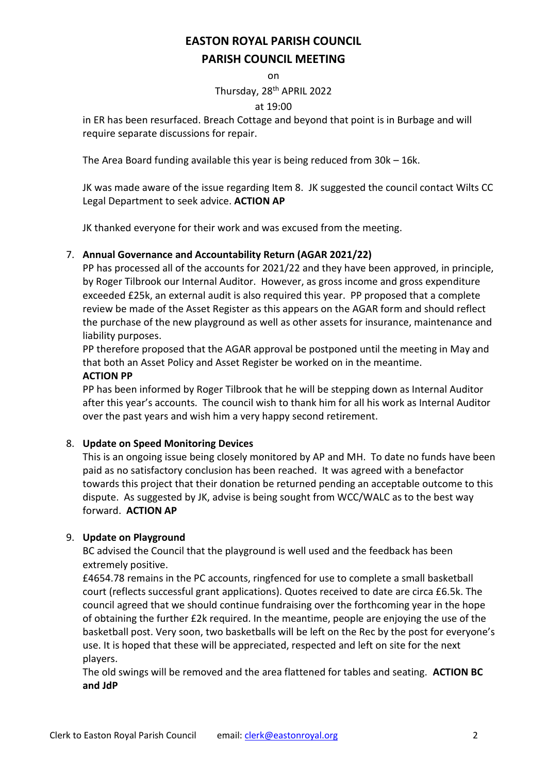on

Thursday, 28th APRIL 2022

#### at 19:00

in ER has been resurfaced. Breach Cottage and beyond that point is in Burbage and will require separate discussions for repair.

The Area Board funding available this year is being reduced from 30k – 16k.

JK was made aware of the issue regarding Item 8. JK suggested the council contact Wilts CC Legal Department to seek advice. **ACTION AP**

JK thanked everyone for their work and was excused from the meeting.

## 7. **Annual Governance and Accountability Return (AGAR 2021/22)**

PP has processed all of the accounts for 2021/22 and they have been approved, in principle, by Roger Tilbrook our Internal Auditor. However, as gross income and gross expenditure exceeded £25k, an external audit is also required this year. PP proposed that a complete review be made of the Asset Register as this appears on the AGAR form and should reflect the purchase of the new playground as well as other assets for insurance, maintenance and liability purposes.

PP therefore proposed that the AGAR approval be postponed until the meeting in May and that both an Asset Policy and Asset Register be worked on in the meantime.

# **ACTION PP**

PP has been informed by Roger Tilbrook that he will be stepping down as Internal Auditor after this year's accounts. The council wish to thank him for all his work as Internal Auditor over the past years and wish him a very happy second retirement.

## 8. **Update on Speed Monitoring Devices**

This is an ongoing issue being closely monitored by AP and MH. To date no funds have been paid as no satisfactory conclusion has been reached. It was agreed with a benefactor towards this project that their donation be returned pending an acceptable outcome to this dispute. As suggested by JK, advise is being sought from WCC/WALC as to the best way forward. **ACTION AP**

## 9. **Update on Playground**

BC advised the Council that the playground is well used and the feedback has been extremely positive.

£4654.78 remains in the PC accounts, ringfenced for use to complete a small basketball court (reflects successful grant applications). Quotes received to date are circa £6.5k. The council agreed that we should continue fundraising over the forthcoming year in the hope of obtaining the further £2k required. In the meantime, people are enjoying the use of the basketball post. Very soon, two basketballs will be left on the Rec by the post for everyone's use. It is hoped that these will be appreciated, respected and left on site for the next players.

The old swings will be removed and the area flattened for tables and seating. **ACTION BC and JdP**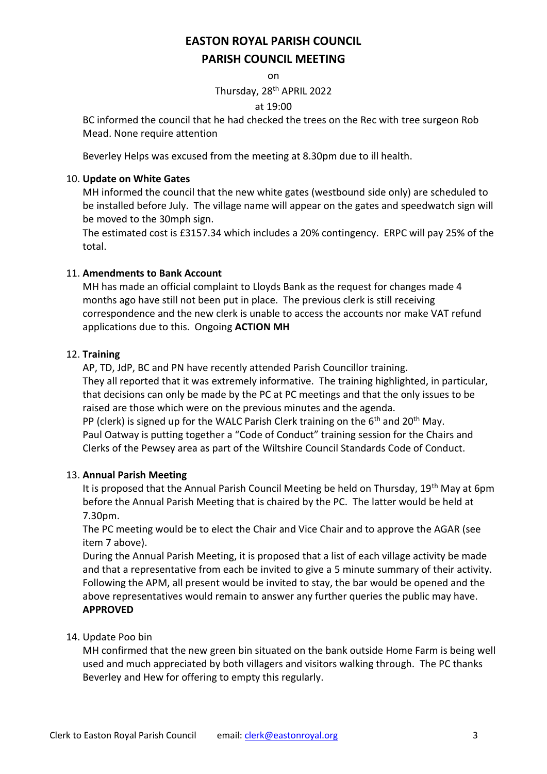on

Thursday, 28th APRIL 2022

## at 19:00

BC informed the council that he had checked the trees on the Rec with tree surgeon Rob Mead. None require attention

Beverley Helps was excused from the meeting at 8.30pm due to ill health.

# 10. **Update on White Gates**

MH informed the council that the new white gates (westbound side only) are scheduled to be installed before July. The village name will appear on the gates and speedwatch sign will be moved to the 30mph sign.

The estimated cost is £3157.34 which includes a 20% contingency. ERPC will pay 25% of the total.

# 11. **Amendments to Bank Account**

MH has made an official complaint to Lloyds Bank as the request for changes made 4 months ago have still not been put in place. The previous clerk is still receiving correspondence and the new clerk is unable to access the accounts nor make VAT refund applications due to this. Ongoing **ACTION MH**

# 12. **Training**

AP, TD, JdP, BC and PN have recently attended Parish Councillor training. They all reported that it was extremely informative. The training highlighted, in particular, that decisions can only be made by the PC at PC meetings and that the only issues to be raised are those which were on the previous minutes and the agenda. PP (clerk) is signed up for the WALC Parish Clerk training on the  $6<sup>th</sup>$  and  $20<sup>th</sup>$  May. Paul Oatway is putting together a "Code of Conduct" training session for the Chairs and Clerks of the Pewsey area as part of the Wiltshire Council Standards Code of Conduct.

## 13. **Annual Parish Meeting**

It is proposed that the Annual Parish Council Meeting be held on Thursday, 19<sup>th</sup> May at 6pm before the Annual Parish Meeting that is chaired by the PC. The latter would be held at 7.30pm.

The PC meeting would be to elect the Chair and Vice Chair and to approve the AGAR (see item 7 above).

During the Annual Parish Meeting, it is proposed that a list of each village activity be made and that a representative from each be invited to give a 5 minute summary of their activity. Following the APM, all present would be invited to stay, the bar would be opened and the above representatives would remain to answer any further queries the public may have. **APPROVED**

# 14. Update Poo bin

MH confirmed that the new green bin situated on the bank outside Home Farm is being well used and much appreciated by both villagers and visitors walking through. The PC thanks Beverley and Hew for offering to empty this regularly.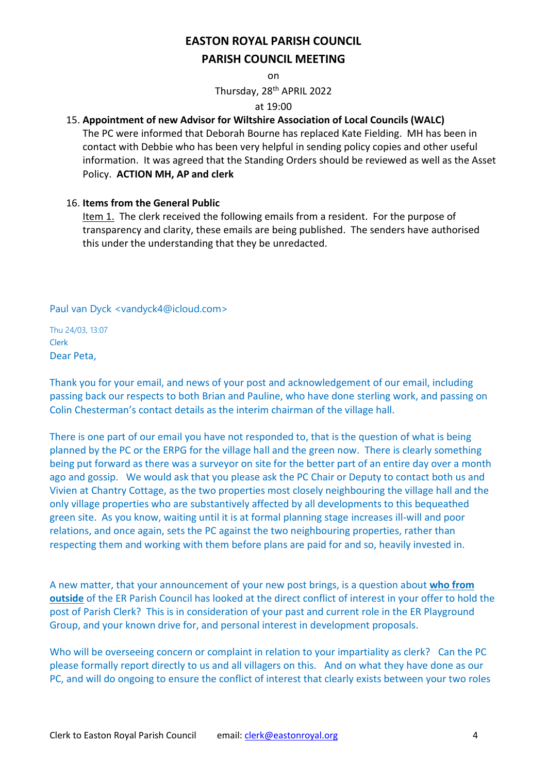on

Thursday, 28th APRIL 2022

#### at 19:00

# 15. **Appointment of new Advisor for Wiltshire Association of Local Councils (WALC)**

The PC were informed that Deborah Bourne has replaced Kate Fielding. MH has been in contact with Debbie who has been very helpful in sending policy copies and other useful information. It was agreed that the Standing Orders should be reviewed as well as the Asset Policy. **ACTION MH, AP and clerk**

## 16. **Items from the General Public**

Item 1. The clerk received the following emails from a resident. For the purpose of transparency and clarity, these emails are being published. The senders have authorised this under the understanding that they be unredacted.

Paul van Dyck <vandyck4@icloud.com>

Thu 24/03, 13:07 Clerk Dear Peta,

Thank you for your email, and news of your post and acknowledgement of our email, including passing back our respects to both Brian and Pauline, who have done sterling work, and passing on Colin Chesterman's contact details as the interim chairman of the village hall.

There is one part of our email you have not responded to, that is the question of what is being planned by the PC or the ERPG for the village hall and the green now. There is clearly something being put forward as there was a surveyor on site for the better part of an entire day over a month ago and gossip. We would ask that you please ask the PC Chair or Deputy to contact both us and Vivien at Chantry Cottage, as the two properties most closely neighbouring the village hall and the only village properties who are substantively affected by all developments to this bequeathed green site. As you know, waiting until it is at formal planning stage increases ill-will and poor relations, and once again, sets the PC against the two neighbouring properties, rather than respecting them and working with them before plans are paid for and so, heavily invested in.

A new matter, that your announcement of your new post brings, is a question about **who from outside** of the ER Parish Council has looked at the direct conflict of interest in your offer to hold the post of Parish Clerk? This is in consideration of your past and current role in the ER Playground Group, and your known drive for, and personal interest in development proposals.

Who will be overseeing concern or complaint in relation to your impartiality as clerk? Can the PC please formally report directly to us and all villagers on this. And on what they have done as our PC, and will do ongoing to ensure the conflict of interest that clearly exists between your two roles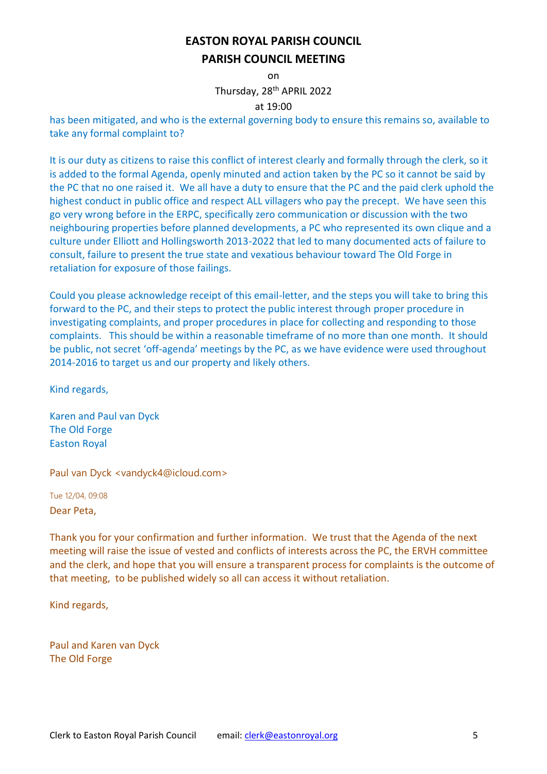on

Thursday, 28<sup>th</sup> APRIL 2022

#### at 19:00

has been mitigated, and who is the external governing body to ensure this remains so, available to take any formal complaint to?

It is our duty as citizens to raise this conflict of interest clearly and formally through the clerk, so it is added to the formal Agenda, openly minuted and action taken by the PC so it cannot be said by the PC that no one raised it. We all have a duty to ensure that the PC and the paid clerk uphold the highest conduct in public office and respect ALL villagers who pay the precept. We have seen this go very wrong before in the ERPC, specifically zero communication or discussion with the two neighbouring properties before planned developments, a PC who represented its own clique and a culture under Elliott and Hollingsworth 2013-2022 that led to many documented acts of failure to consult, failure to present the true state and vexatious behaviour toward The Old Forge in retaliation for exposure of those failings.

Could you please acknowledge receipt of this email-letter, and the steps you will take to bring this forward to the PC, and their steps to protect the public interest through proper procedure in investigating complaints, and proper procedures in place for collecting and responding to those complaints. This should be within a reasonable timeframe of no more than one month. It should be public, not secret 'off-agenda' meetings by the PC, as we have evidence were used throughout 2014-2016 to target us and our property and likely others.

Kind regards,

Karen and Paul van Dyck The Old Forge Easton Royal

Paul van Dyck <vandyck4@icloud.com>

Tue 12/04, 09:08 Dear Peta,

Thank you for your confirmation and further information. We trust that the Agenda of the next meeting will raise the issue of vested and conflicts of interests across the PC, the ERVH committee and the clerk, and hope that you will ensure a transparent process for complaints is the outcome of that meeting, to be published widely so all can access it without retaliation.

Kind regards,

Paul and Karen van Dyck The Old Forge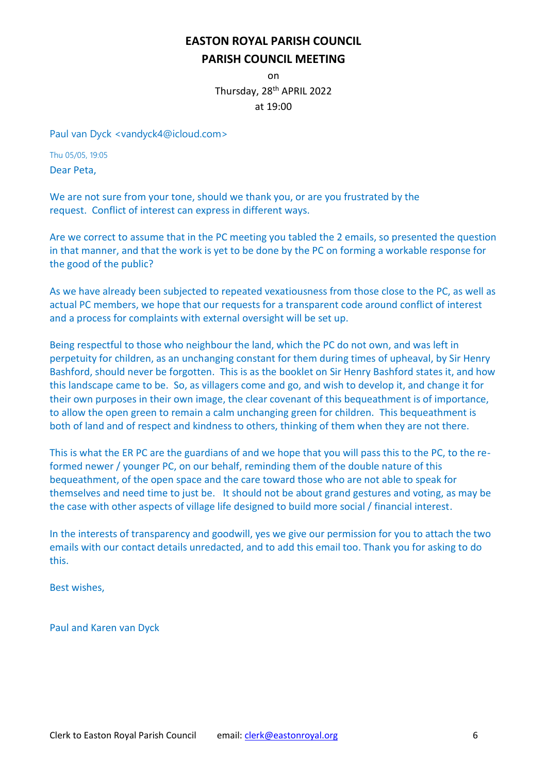on Thursday, 28th APRIL 2022 at 19:00

Paul van Dyck <vandyck4@icloud.com>

Thu 05/05, 19:05 Dear Peta,

We are not sure from your tone, should we thank you, or are you frustrated by the request. Conflict of interest can express in different ways.

Are we correct to assume that in the PC meeting you tabled the 2 emails, so presented the question in that manner, and that the work is yet to be done by the PC on forming a workable response for the good of the public?

As we have already been subjected to repeated vexatiousness from those close to the PC, as well as actual PC members, we hope that our requests for a transparent code around conflict of interest and a process for complaints with external oversight will be set up.

Being respectful to those who neighbour the land, which the PC do not own, and was left in perpetuity for children, as an unchanging constant for them during times of upheaval, by Sir Henry Bashford, should never be forgotten. This is as the booklet on Sir Henry Bashford states it, and how this landscape came to be. So, as villagers come and go, and wish to develop it, and change it for their own purposes in their own image, the clear covenant of this bequeathment is of importance, to allow the open green to remain a calm unchanging green for children. This bequeathment is both of land and of respect and kindness to others, thinking of them when they are not there.

This is what the ER PC are the guardians of and we hope that you will pass this to the PC, to the reformed newer / younger PC, on our behalf, reminding them of the double nature of this bequeathment, of the open space and the care toward those who are not able to speak for themselves and need time to just be. It should not be about grand gestures and voting, as may be the case with other aspects of village life designed to build more social / financial interest.

In the interests of transparency and goodwill, yes we give our permission for you to attach the two emails with our contact details unredacted, and to add this email too. Thank you for asking to do this.

Best wishes,

Paul and Karen van Dyck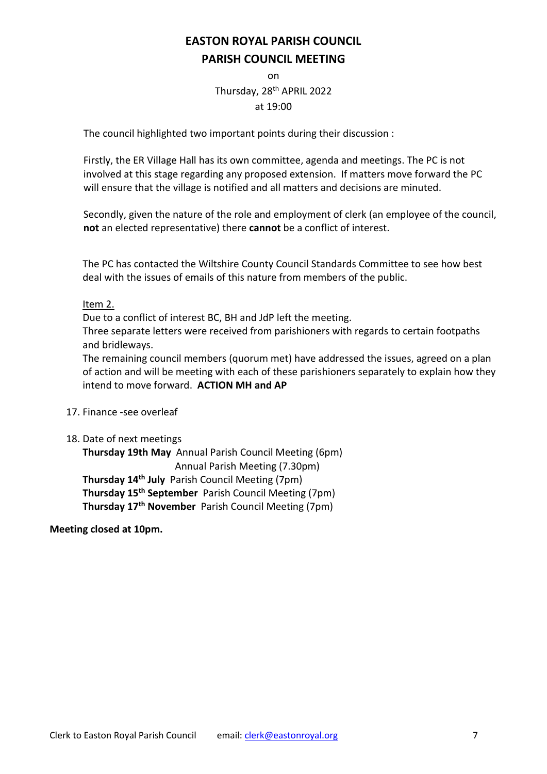on Thursday, 28th APRIL 2022 at 19:00

The council highlighted two important points during their discussion :

Firstly, the ER Village Hall has its own committee, agenda and meetings. The PC is not involved at this stage regarding any proposed extension. If matters move forward the PC will ensure that the village is notified and all matters and decisions are minuted.

Secondly, given the nature of the role and employment of clerk (an employee of the council, **not** an elected representative) there **cannot** be a conflict of interest.

The PC has contacted the Wiltshire County Council Standards Committee to see how best deal with the issues of emails of this nature from members of the public.

# Item 2.

Due to a conflict of interest BC, BH and JdP left the meeting.

Three separate letters were received from parishioners with regards to certain footpaths and bridleways.

The remaining council members (quorum met) have addressed the issues, agreed on a plan of action and will be meeting with each of these parishioners separately to explain how they intend to move forward. **ACTION MH and AP**

- 17. Finance -see overleaf
- 18. Date of next meetings

**Thursday 19th May** Annual Parish Council Meeting (6pm) Annual Parish Meeting (7.30pm) **Thursday 14th July** Parish Council Meeting (7pm) **Thursday 15th September** Parish Council Meeting (7pm) **Thursday 17th November** Parish Council Meeting (7pm)

**Meeting closed at 10pm.**